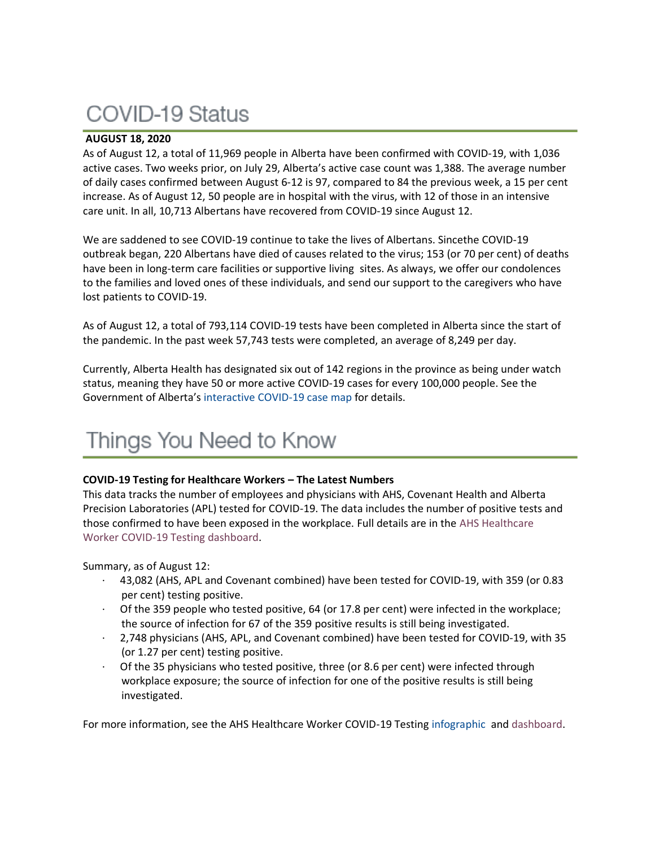## COVID-19 Status

## **AUGUST 18, 2020**

As of August 12, a total of 11,969 people in Alberta have been confirmed with COVID-19, with 1,036 active cases. Two weeks prior, on July 29, Alberta's active case count was 1,388. The average number of daily cases confirmed between August 6-12 is 97, compared to 84 the previous week, a 15 per cent increase. As of August 12, 50 people are in hospital with the virus, with 12 of those in an intensive care unit. In all, 10,713 Albertans have recovered from COVID-19 since August 12.

We are saddened to see COVID-19 continue to take the lives of Albertans. Sincethe COVID-19 outbreak began, 220 Albertans have died of causes related to the virus; 153 (or 70 per cent) of deaths have been in long-term care facilities or supportive living sites. As always, we offer our condolences to the families and loved ones of these individuals, and send our support to the caregivers who have lost patients to COVID-19.

As of August 12, a total of 793,114 COVID-19 tests have been completed in Alberta since the start of the pandemic. In the past week 57,743 tests were completed, an average of 8,249 per day.

Currently, Alberta Health has designated six out of 142 regions in the province as being under watch status, meaning they have 50 or more active COVID-19 cases for every 100,000 people. See the Government of Alberta's [interactive COVID-19 case map](https://www.alberta.ca/maps/covid-19-status-map.htm) for details.

# Things You Need to Know

## **COVID-19 Testing for Healthcare Workers – The Latest Numbers**

This data tracks the number of employees and physicians with AHS, Covenant Health and Alberta Precision Laboratories (APL) tested for COVID-19. The data includes the number of positive tests and those confirmed to have been exposed in the workplace. Full details are in the AHS [Healthcare](https://tableau.albertahealthservices.ca/#/views/AHSEmployeePhysicianCOVID-19TestSurveillanceDashboard/Introduction?:iid=1) Worker COVID-19 Testing [dashboard.](https://tableau.albertahealthservices.ca/#/views/AHSEmployeePhysicianCOVID-19TestSurveillanceDashboard/Introduction?:iid=1)

Summary, as of August 12:

- · 43,082 (AHS, APL and Covenant combined) have been tested for COVID-19, with 359 (or 0.83 per cent) testing positive.
- · Of the 359 people who tested positive, 64 (or 17.8 per cent) were infected in the workplace; the source of infection for 67 of the 359 positive results is still being investigated.
- · 2,748 physicians (AHS, APL, and Covenant combined) have been tested for COVID-19, with 35 (or 1.27 per cent) testing positive.
- Of the 35 physicians who tested positive, three (or 8.6 per cent) were infected through workplace exposure; the source of infection for one of the positive results is still being investigated.

For more information, see the AHS Healthcare Worker COVID-19 Testing [infographic](https://insite.albertahealthservices.ca/main/assets/tls/ep/tls-ep-covid-19-healthcare-worker-testing-infographic.pdf) and [dashboard.](https://tableau.albertahealthservices.ca/#/views/AHSEmployeePhysicianCOVID-19TestSurveillanceDashboard/Introduction?:iid=1)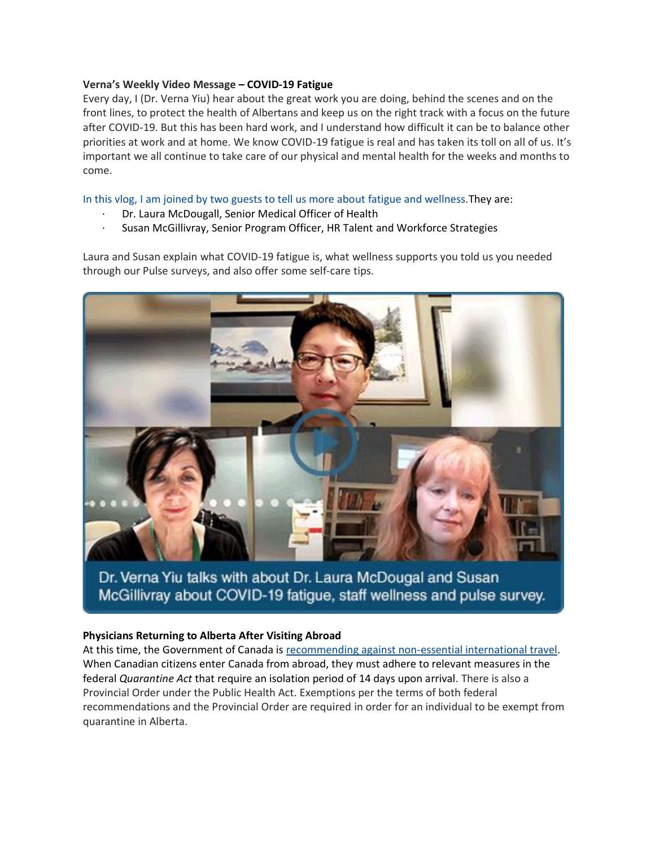### **Verna's Weekly Video Message – COVID-19 Fatigue**

Every day, I (Dr. Verna Yiu) hear about the great work you are doing, behind the scenes and on the front lines, to protect the health of Albertans and keep us on the right track with a focus on the future after COVID-19. But this has been hard work, and I understand how difficult it can be to balance other priorities at work and at home. We know COVID-19 fatigue is real and has taken its toll on all of us. It's important we all continue to take care of our physical and mental health for the weeks and months to come.

In this vlog, I am joined by two guests to tell us more about fatigue and [wellness.](http://www.albertahealthservices.ca/Blogs/ceo/285.aspx)They are:

- Dr. Laura McDougall, Senior Medical Officer of Health
- Susan McGillivray, Senior Program Officer, HR Talent and Workforce Strategies

Laura and Susan explain what COVID-19 fatigue is, what wellness supports you told us you needed through our Pulse surveys, and also offer some self-care tips.



Dr. Verna Yiu talks with about Dr. Laura McDougal and Susan McGillivray about COVID-19 fatigue, staff wellness and pulse survey.

#### **Physicians Returning to Alberta After Visiting Abroad**

At this time, the Government of Canada is [recommending against non-essential international travel.](https://travel.gc.ca/travelling/advisories) When Canadian citizens enter Canada from abroad, they must adhere to relevant measures in the federal *Quarantine Act* that require an isolation period of 14 days upon arrival. There is also a Provincial Order under the Public Health Act. Exemptions per the terms of both federal recommendations and the Provincial Order are required in order for an individual to be exempt from quarantine in Alberta.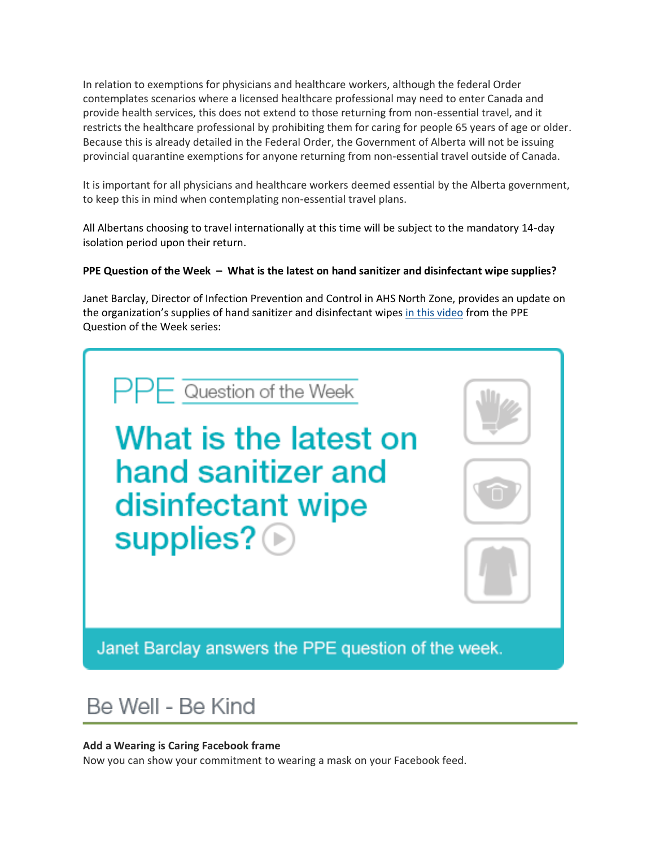In relation to exemptions for physicians and healthcare workers, although the federal Order contemplates scenarios where a licensed healthcare professional may need to enter Canada and provide health services, this does not extend to those returning from non-essential travel, and it restricts the healthcare professional by prohibiting them for caring for people 65 years of age or older. Because this is already detailed in the Federal Order, the Government of Alberta will not be issuing provincial quarantine exemptions for anyone returning from non-essential travel outside of Canada.

It is important for all physicians and healthcare workers deemed essential by the Alberta government, to keep this in mind when contemplating non-essential travel plans.

All Albertans choosing to travel internationally at this time will be subject to the mandatory 14-day isolation period upon their return.

## **PPE Question of the Week – What is the latest on hand sanitizer and disinfectant wipe supplies?**

Janet Barclay, Director of Infection Prevention and Control in AHS North Zone, provides an update on the organization's supplies of hand sanitizer and disinfectant wipes [in this video](https://www.albertahealthservices.ca/topics/Page17119.aspx#ppedodont) from the PPE Question of the Week series:



## Be Well - Be Kind

## **Add a Wearing is Caring Facebook frame**

Now you can show your commitment to wearing a mask on your Facebook feed.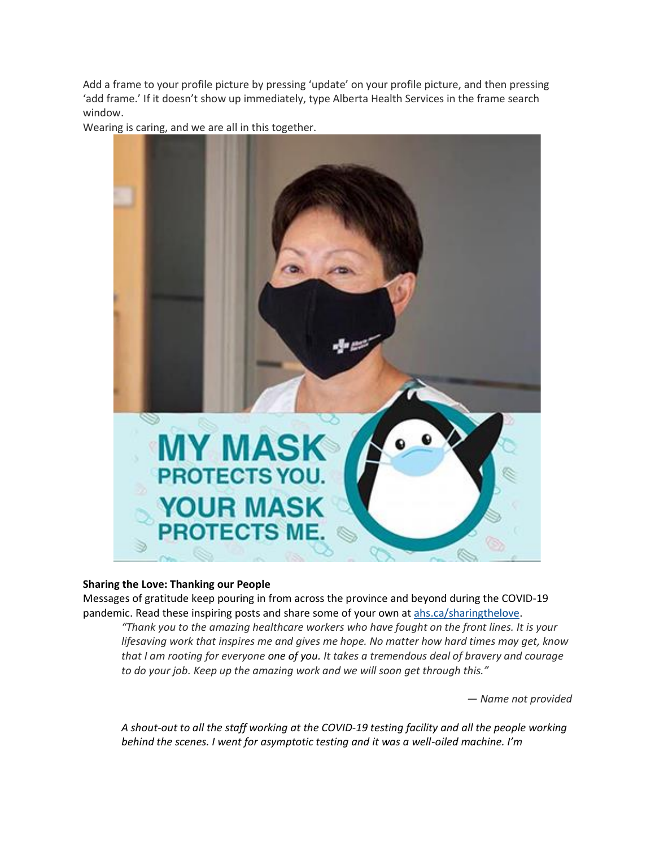Add a frame to your profile picture by pressing 'update' on your profile picture, and then pressing 'add frame.' If it doesn't show up immediately, type Alberta Health Services in the frame search window.



Wearing is caring, and we are all in this together.

## **Sharing the Love: Thanking our People**

Messages of gratitude keep pouring in from across the province and beyond during the COVID-19 pandemic. Read these inspiring posts and share some of your own at [ahs.ca/sharingthelove.](https://www.albertahealthservices.ca/about/page13797.aspx)

*"Thank you to the amazing healthcare workers who have fought on the front lines. It is your lifesaving work that inspires me and gives me hope. No matter how hard times may get, know that I am rooting for everyone one of you. It takes a tremendous deal of bravery and courage to do your job. Keep up the amazing work and we will soon get through this."*

*— Name not provided*

*A shout-out to all the staff working at the COVID-19 testing facility and all the people working behind the scenes. I went for asymptotic testing and it was a well-oiled machine. I'm*